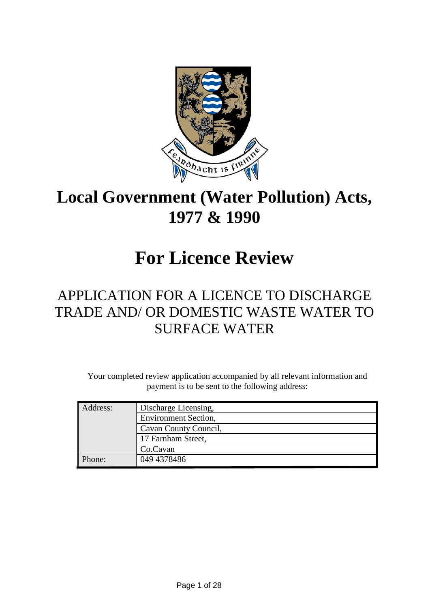

## **Local Government (Water Pollution) Acts, 1977 & 1990**

## **For Licence Review**

## APPLICATION FOR A LICENCE TO DISCHARGE TRADE AND/ OR DOMESTIC WASTE WATER TO SURFACE WATER

Your completed review application accompanied by all relevant information and payment is to be sent to the following address:

| Address: | Discharge Licensing,        |
|----------|-----------------------------|
|          | <b>Environment Section,</b> |
|          | Cavan County Council,       |
|          | 17 Farnham Street,          |
|          | Co.Cavan                    |
| Phone:   | 049 4378486                 |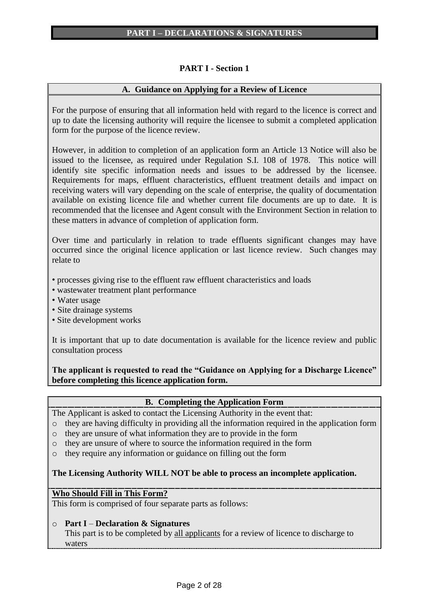## **PART I - Section 1**

## **A. Guidance on Applying for a Review of Licence**

For the purpose of ensuring that all information held with regard to the licence is correct and up to date the licensing authority will require the licensee to submit a completed application form for the purpose of the licence review.

However, in addition to completion of an application form an Article 13 Notice will also be issued to the licensee, as required under Regulation S.I. 108 of 1978. This notice will identify site specific information needs and issues to be addressed by the licensee. Requirements for maps, effluent characteristics, effluent treatment details and impact on receiving waters will vary depending on the scale of enterprise, the quality of documentation available on existing licence file and whether current file documents are up to date. It is recommended that the licensee and Agent consult with the Environment Section in relation to these matters in advance of completion of application form.

Over time and particularly in relation to trade effluents significant changes may have occurred since the original licence application or last licence review. Such changes may relate to

• processes giving rise to the effluent raw effluent characteristics and loads

- wastewater treatment plant performance
- Water usage
- Site drainage systems
- Site development works

It is important that up to date documentation is available for the licence review and public consultation process

**The applicant is requested to read the "Guidance on Applying for a Discharge Licence" before completing this licence application form.**

## **B. Completing the Application Form**

The Applicant is asked to contact the Licensing Authority in the event that:

- o they are having difficulty in providing all the information required in the application form
- o they are unsure of what information they are to provide in the form
- o they are unsure of where to source the information required in the form
- o they require any information or guidance on filling out the form

## **The Licensing Authority WILL NOT be able to process an incomplete application.**

#### **Who Should Fill in This Form?**

This form is comprised of four separate parts as follows:

#### o **Part I** – **Declaration & Signatures**

This part is to be completed by all applicants for a review of licence to discharge to waters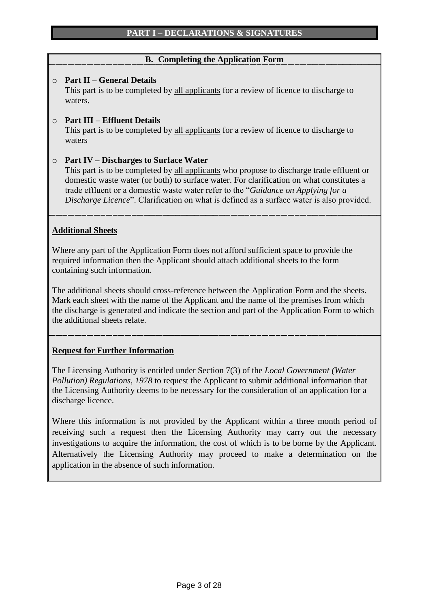## **B. Completing the Application Form**

## o **Part II** – **General Details**

This part is to be completed by all applicants for a review of licence to discharge to waters.

## o **Part III** – **Effluent Details**

This part is to be completed by all applicants for a review of licence to discharge to waters

## o **Part IV – Discharges to Surface Water**

This part is to be completed by all applicants who propose to discharge trade effluent or domestic waste water (or both) to surface water. For clarification on what constitutes a trade effluent or a domestic waste water refer to the "*Guidance on Applying for a Discharge Licence*". Clarification on what is defined as a surface water is also provided.

## **Additional Sheets**

Where any part of the Application Form does not afford sufficient space to provide the required information then the Applicant should attach additional sheets to the form containing such information.

The additional sheets should cross-reference between the Application Form and the sheets. Mark each sheet with the name of the Applicant and the name of the premises from which the discharge is generated and indicate the section and part of the Application Form to which the additional sheets relate.

## **Request for Further Information**

The Licensing Authority is entitled under Section 7(3) of the *Local Government (Water Pollution) Regulations, 1978* to request the Applicant to submit additional information that the Licensing Authority deems to be necessary for the consideration of an application for a discharge licence.

Where this information is not provided by the Applicant within a three month period of receiving such a request then the Licensing Authority may carry out the necessary investigations to acquire the information, the cost of which is to be borne by the Applicant. Alternatively the Licensing Authority may proceed to make a determination on the application in the absence of such information.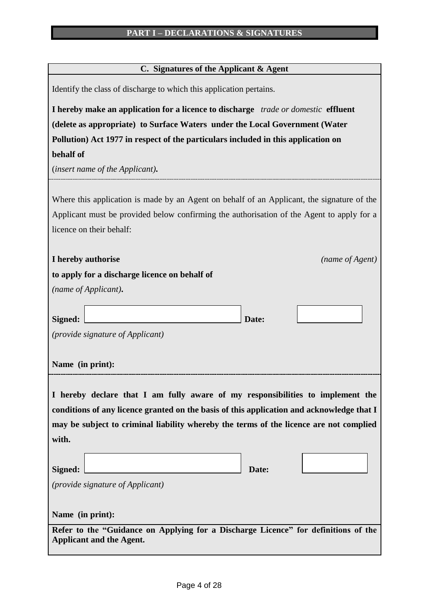| C. Signatures of the Applicant & Agent |  |  |
|----------------------------------------|--|--|
|                                        |  |  |

| Identify the class of discharge to which this application pertains.                                                   |
|-----------------------------------------------------------------------------------------------------------------------|
| I hereby make an application for a licence to discharge trade or domestic effluent                                    |
| (delete as appropriate) to Surface Waters under the Local Government (Water                                           |
| Pollution) Act 1977 in respect of the particulars included in this application on                                     |
| behalf of                                                                                                             |
| (insert name of the Applicant).                                                                                       |
|                                                                                                                       |
| Where this application is made by an Agent on behalf of an Applicant, the signature of the                            |
| Applicant must be provided below confirming the authorisation of the Agent to apply for a                             |
| licence on their behalf:                                                                                              |
| I hereby authorise<br>(name of Agent)                                                                                 |
| to apply for a discharge licence on behalf of                                                                         |
| (name of Applicant).                                                                                                  |
|                                                                                                                       |
| Signed:<br>Date:                                                                                                      |
| (provide signature of Applicant)                                                                                      |
|                                                                                                                       |
| Name (in print):                                                                                                      |
|                                                                                                                       |
| I hereby declare that I am fully aware of my responsibilities to implement the                                        |
| conditions of any licence granted on the basis of this application and acknowledge that I                             |
| may be subject to criminal liability whereby the terms of the licence are not complied                                |
| with.                                                                                                                 |
|                                                                                                                       |
| Signed:<br>Date:                                                                                                      |
| <i>(provide signature of Applicant)</i>                                                                               |
|                                                                                                                       |
| Name (in print):                                                                                                      |
| Refer to the "Guidance on Applying for a Discharge Licence" for definitions of the<br><b>Applicant and the Agent.</b> |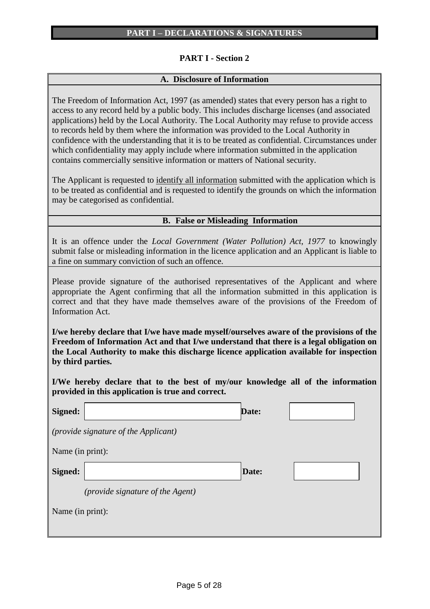## **PART I - Section 2**

#### **A. Disclosure of Information**

The Freedom of Information Act, 1997 (as amended) states that every person has a right to access to any record held by a public body. This includes discharge licenses (and associated applications) held by the Local Authority. The Local Authority may refuse to provide access to records held by them where the information was provided to the Local Authority in confidence with the understanding that it is to be treated as confidential. Circumstances under which confidentiality may apply include where information submitted in the application contains commercially sensitive information or matters of National security.

The Applicant is requested to identify all information submitted with the application which is to be treated as confidential and is requested to identify the grounds on which the information may be categorised as confidential.

## **B. False or Misleading Information**

It is an offence under the *Local Government (Water Pollution) Act, 1977* to knowingly submit false or misleading information in the licence application and an Applicant is liable to a fine on summary conviction of such an offence.

Please provide signature of the authorised representatives of the Applicant and where appropriate the Agent confirming that all the information submitted in this application is correct and that they have made themselves aware of the provisions of the Freedom of Information Act.

**I/we hereby declare that I/we have made myself/ourselves aware of the provisions of the Freedom of Information Act and that I/we understand that there is a legal obligation on the Local Authority to make this discharge licence application available for inspection by third parties.**

**I/We hereby declare that to the best of my/our knowledge all of the information provided in this application is true and correct.**

| Signed:          |                                      | <b>Date:</b> |  |
|------------------|--------------------------------------|--------------|--|
|                  | (provide signature of the Applicant) |              |  |
| Name (in print): |                                      |              |  |
| Signed:          |                                      | Date:        |  |
|                  | (provide signature of the Agent)     |              |  |
| Name (in print): |                                      |              |  |
|                  |                                      |              |  |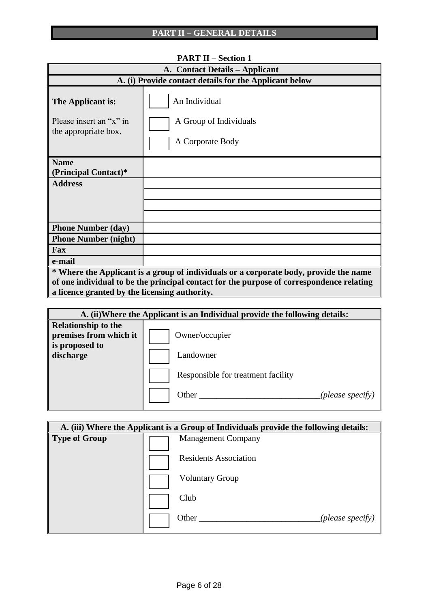|                                                                      | 1 лит 11 – эсспон 1                                                                      |
|----------------------------------------------------------------------|------------------------------------------------------------------------------------------|
|                                                                      | A. Contact Details – Applicant                                                           |
|                                                                      | A. (i) Provide contact details for the Applicant below                                   |
| The Applicant is:<br>Please insert an "x" in<br>the appropriate box. | An Individual<br>A Group of Individuals<br>A Corporate Body                              |
| <b>Name</b><br>(Principal Contact)*                                  |                                                                                          |
| <b>Address</b>                                                       |                                                                                          |
|                                                                      |                                                                                          |
|                                                                      |                                                                                          |
|                                                                      |                                                                                          |
| <b>Phone Number (day)</b>                                            |                                                                                          |
| <b>Phone Number (night)</b>                                          |                                                                                          |
| Fax                                                                  |                                                                                          |
| e-mail                                                               |                                                                                          |
|                                                                      | * Where the Applicant is a group of individuals or a corporate body, provide the name    |
|                                                                      | of one individual to be the principal contact for the purpose of correspondence relating |
| a licence granted by the licensing authority.                        |                                                                                          |

|                                                                        | A. (ii) Where the Applicant is an Individual provide the following details: |
|------------------------------------------------------------------------|-----------------------------------------------------------------------------|
| <b>Relationship to the</b><br>premises from which it<br>is proposed to | Owner/occupier                                                              |
| discharge                                                              | Landowner                                                                   |
|                                                                        | Responsible for treatment facility                                          |
|                                                                        | Other<br>(please specify)                                                   |

|                      | A. (iii) Where the Applicant is a Group of Individuals provide the following details: |
|----------------------|---------------------------------------------------------------------------------------|
| <b>Type of Group</b> | <b>Management Company</b>                                                             |
|                      | <b>Residents Association</b>                                                          |
|                      | <b>Voluntary Group</b>                                                                |
|                      | Club                                                                                  |
|                      | Other<br>(please specify)                                                             |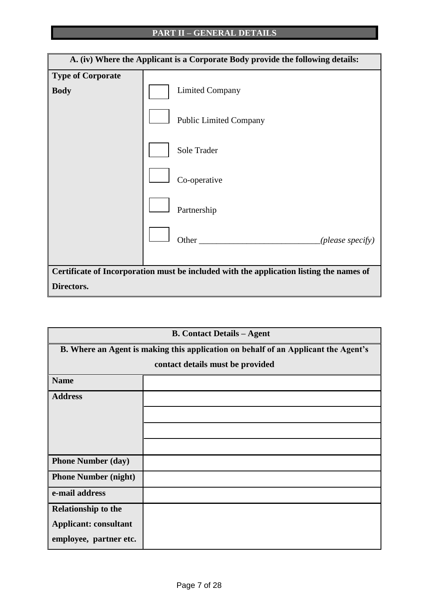

| <b>B. Contact Details - Agent</b> |                                                                                    |  |  |  |
|-----------------------------------|------------------------------------------------------------------------------------|--|--|--|
|                                   | B. Where an Agent is making this application on behalf of an Applicant the Agent's |  |  |  |
|                                   | contact details must be provided                                                   |  |  |  |
| <b>Name</b>                       |                                                                                    |  |  |  |
| <b>Address</b>                    |                                                                                    |  |  |  |
|                                   |                                                                                    |  |  |  |
|                                   |                                                                                    |  |  |  |
|                                   |                                                                                    |  |  |  |
| <b>Phone Number (day)</b>         |                                                                                    |  |  |  |
| <b>Phone Number (night)</b>       |                                                                                    |  |  |  |
| e-mail address                    |                                                                                    |  |  |  |
| <b>Relationship to the</b>        |                                                                                    |  |  |  |
| <b>Applicant: consultant</b>      |                                                                                    |  |  |  |
| employee, partner etc.            |                                                                                    |  |  |  |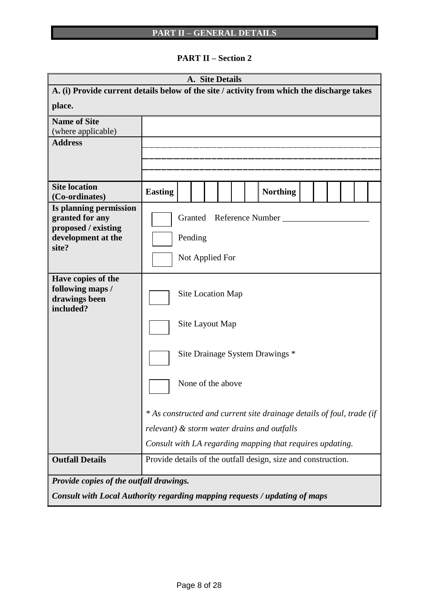**PART II – Section 2**

|                                                                                            |                                 |  |         | A. Site Details   |  |                                                                       |  |  |  |
|--------------------------------------------------------------------------------------------|---------------------------------|--|---------|-------------------|--|-----------------------------------------------------------------------|--|--|--|
| A. (i) Provide current details below of the site / activity from which the discharge takes |                                 |  |         |                   |  |                                                                       |  |  |  |
| place.                                                                                     |                                 |  |         |                   |  |                                                                       |  |  |  |
| <b>Name of Site</b>                                                                        |                                 |  |         |                   |  |                                                                       |  |  |  |
| (where applicable)                                                                         |                                 |  |         |                   |  |                                                                       |  |  |  |
| <b>Address</b>                                                                             |                                 |  |         |                   |  |                                                                       |  |  |  |
|                                                                                            |                                 |  |         |                   |  |                                                                       |  |  |  |
|                                                                                            |                                 |  |         |                   |  |                                                                       |  |  |  |
| <b>Site location</b><br>(Co-ordinates)                                                     | <b>Easting</b>                  |  |         |                   |  | <b>Northing</b>                                                       |  |  |  |
| Is planning permission<br>granted for any                                                  |                                 |  |         |                   |  | Granted Reference Number                                              |  |  |  |
| proposed / existing                                                                        |                                 |  |         |                   |  |                                                                       |  |  |  |
| development at the<br>site?                                                                |                                 |  | Pending |                   |  |                                                                       |  |  |  |
|                                                                                            |                                 |  |         | Not Applied For   |  |                                                                       |  |  |  |
| Have copies of the                                                                         |                                 |  |         |                   |  |                                                                       |  |  |  |
| following maps /<br>drawings been<br>included?                                             | Site Location Map               |  |         |                   |  |                                                                       |  |  |  |
|                                                                                            | Site Layout Map                 |  |         |                   |  |                                                                       |  |  |  |
|                                                                                            | Site Drainage System Drawings * |  |         |                   |  |                                                                       |  |  |  |
|                                                                                            |                                 |  |         | None of the above |  |                                                                       |  |  |  |
|                                                                                            |                                 |  |         |                   |  | * As constructed and current site drainage details of foul, trade (if |  |  |  |
|                                                                                            |                                 |  |         |                   |  | relevant) & storm water drains and outfalls                           |  |  |  |
|                                                                                            |                                 |  |         |                   |  | Consult with LA regarding mapping that requires updating.             |  |  |  |
| <b>Outfall Details</b>                                                                     |                                 |  |         |                   |  | Provide details of the outfall design, size and construction.         |  |  |  |
| Provide copies of the outfall drawings.                                                    |                                 |  |         |                   |  |                                                                       |  |  |  |
| Consult with Local Authority regarding mapping requests / updating of maps                 |                                 |  |         |                   |  |                                                                       |  |  |  |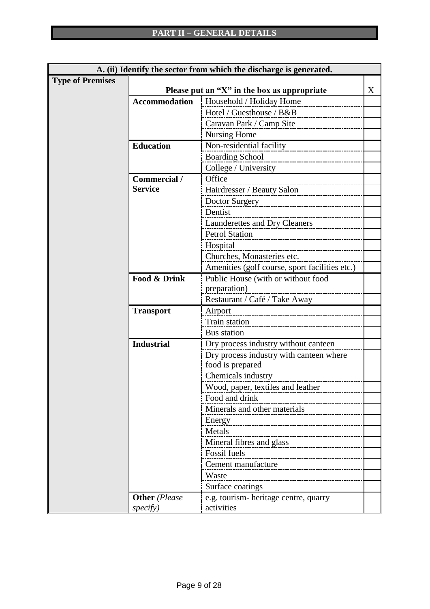|                         | A. (ii) Identify the sector from which the discharge is generated. |                                                 |   |  |
|-------------------------|--------------------------------------------------------------------|-------------------------------------------------|---|--|
| <b>Type of Premises</b> |                                                                    |                                                 |   |  |
|                         |                                                                    | Please put an " $X$ " in the box as appropriate | X |  |
|                         | <b>Accommodation</b>                                               | Household / Holiday Home                        |   |  |
|                         |                                                                    | Hotel / Guesthouse / B&B                        |   |  |
|                         |                                                                    | Caravan Park / Camp Site                        |   |  |
|                         |                                                                    | <b>Nursing Home</b>                             |   |  |
|                         | <b>Education</b>                                                   | Non-residential facility                        |   |  |
|                         |                                                                    | <b>Boarding School</b>                          |   |  |
|                         |                                                                    | College / University                            |   |  |
|                         | Commercial /                                                       | Office                                          |   |  |
|                         | <b>Service</b>                                                     | Hairdresser / Beauty Salon                      |   |  |
|                         |                                                                    | Doctor Surgery                                  |   |  |
|                         |                                                                    | Dentist                                         |   |  |
|                         |                                                                    | <b>Launderettes and Dry Cleaners</b>            |   |  |
|                         |                                                                    | <b>Petrol Station</b>                           |   |  |
|                         |                                                                    | Hospital                                        |   |  |
|                         |                                                                    | Churches, Monasteries etc.                      |   |  |
|                         |                                                                    | Amenities (golf course, sport facilities etc.)  |   |  |
|                         | <b>Food &amp; Drink</b>                                            | Public House (with or without food              |   |  |
|                         |                                                                    | preparation)                                    |   |  |
|                         |                                                                    | Restaurant / Café / Take Away                   |   |  |
|                         | <b>Transport</b>                                                   | Airport                                         |   |  |
|                         |                                                                    | Train station                                   |   |  |
|                         |                                                                    | Bus station                                     |   |  |
|                         | <b>Industrial</b>                                                  | Dry process industry without canteen            |   |  |
|                         |                                                                    | Dry process industry with canteen where         |   |  |
|                         |                                                                    | food is prepared                                |   |  |
|                         |                                                                    | Chemicals industry                              |   |  |
|                         |                                                                    | Wood, paper, textiles and leather               |   |  |
|                         |                                                                    | Food and drink                                  |   |  |
|                         |                                                                    | Minerals and other materials                    |   |  |
|                         |                                                                    | Energy                                          |   |  |
|                         |                                                                    | Metals                                          |   |  |
|                         |                                                                    | Mineral fibres and glass                        |   |  |
|                         |                                                                    | Fossil fuels                                    |   |  |
|                         |                                                                    | Cement manufacture                              |   |  |
|                         |                                                                    | Waste                                           |   |  |
|                         |                                                                    | Surface coatings                                |   |  |
|                         | <b>Other</b> (Please                                               | e.g. tourism-heritage centre, quarry            |   |  |
|                         | specify)                                                           | activities                                      |   |  |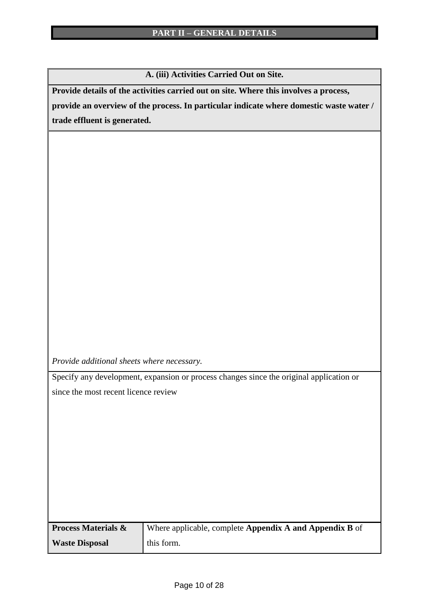**A. (iii) Activities Carried Out on Site.**

**Provide details of the activities carried out on site. Where this involves a process,** 

**provide an overview of the process. In particular indicate where domestic waste water / trade effluent is generated.**

*Provide additional sheets where necessary.*

Specify any development, expansion or process changes since the original application or since the most recent licence review

| <b>Process Materials &amp;</b> | Where applicable, complete <b>Appendix A and Appendix B</b> of |
|--------------------------------|----------------------------------------------------------------|
| <b>Waste Disposal</b>          | this form.                                                     |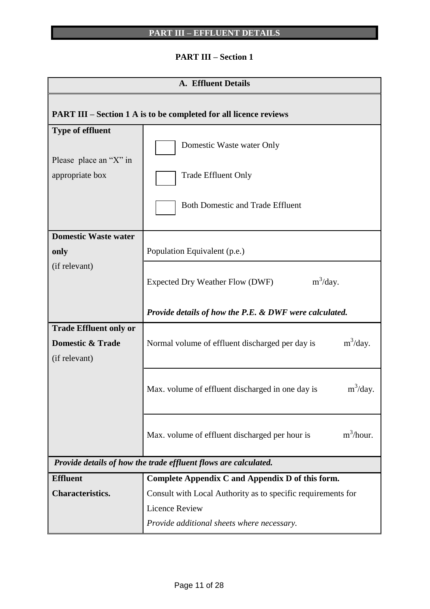## **PART III – Section 1**

| <b>A. Effluent Details</b>                                                    |                                                                                                                                                                                         |  |  |  |  |  |  |
|-------------------------------------------------------------------------------|-----------------------------------------------------------------------------------------------------------------------------------------------------------------------------------------|--|--|--|--|--|--|
| <b>PART III – Section 1 A is to be completed for all licence reviews</b>      |                                                                                                                                                                                         |  |  |  |  |  |  |
| <b>Type of effluent</b><br>Please place an "X" in<br>appropriate box          | Domestic Waste water Only<br><b>Trade Effluent Only</b><br><b>Both Domestic and Trade Effluent</b>                                                                                      |  |  |  |  |  |  |
| <b>Domestic Waste water</b><br>only                                           | Population Equivalent (p.e.)                                                                                                                                                            |  |  |  |  |  |  |
| (if relevant)                                                                 | $m^3$ /day.<br>Expected Dry Weather Flow (DWF)                                                                                                                                          |  |  |  |  |  |  |
|                                                                               | <b>Provide details of how the P.E. &amp; DWF were calculated.</b>                                                                                                                       |  |  |  |  |  |  |
| <b>Trade Effluent only or</b><br><b>Domestic &amp; Trade</b><br>(if relevant) | $m^3$ /day.<br>Normal volume of effluent discharged per day is                                                                                                                          |  |  |  |  |  |  |
|                                                                               | $m^3$ /day.<br>Max. volume of effluent discharged in one day is                                                                                                                         |  |  |  |  |  |  |
|                                                                               | $m^3/h$ our.<br>Max. volume of effluent discharged per hour is                                                                                                                          |  |  |  |  |  |  |
|                                                                               | Provide details of how the trade effluent flows are calculated.                                                                                                                         |  |  |  |  |  |  |
| <b>Effluent</b><br><b>Characteristics.</b>                                    | Complete Appendix C and Appendix D of this form.<br>Consult with Local Authority as to specific requirements for<br><b>Licence Review</b><br>Provide additional sheets where necessary. |  |  |  |  |  |  |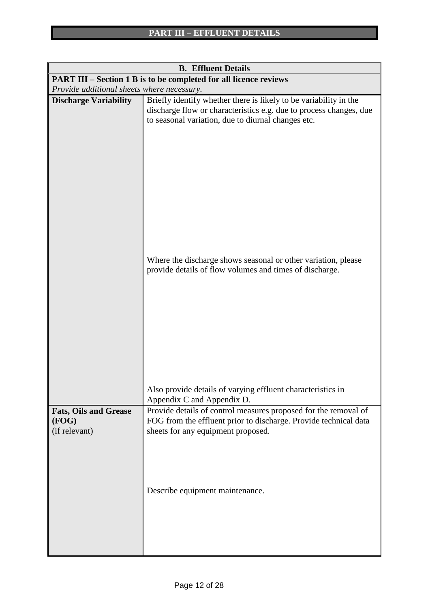| <b>B.</b> Effluent Details                                               |                                                                                                                                                                                               |  |  |  |  |  |  |  |
|--------------------------------------------------------------------------|-----------------------------------------------------------------------------------------------------------------------------------------------------------------------------------------------|--|--|--|--|--|--|--|
| <b>PART III - Section 1 B is to be completed for all licence reviews</b> |                                                                                                                                                                                               |  |  |  |  |  |  |  |
| Provide additional sheets where necessary.                               |                                                                                                                                                                                               |  |  |  |  |  |  |  |
| <b>Discharge Variability</b>                                             | Briefly identify whether there is likely to be variability in the<br>discharge flow or characteristics e.g. due to process changes, due<br>to seasonal variation, due to diurnal changes etc. |  |  |  |  |  |  |  |
|                                                                          | Where the discharge shows seasonal or other variation, please<br>provide details of flow volumes and times of discharge.                                                                      |  |  |  |  |  |  |  |
|                                                                          | Also provide details of varying effluent characteristics in<br>Appendix C and Appendix D.                                                                                                     |  |  |  |  |  |  |  |
| <b>Fats, Oils and Grease</b><br>(FOG)<br>(if relevant)                   | Provide details of control measures proposed for the removal of<br>FOG from the effluent prior to discharge. Provide technical data<br>sheets for any equipment proposed.                     |  |  |  |  |  |  |  |
|                                                                          | Describe equipment maintenance.                                                                                                                                                               |  |  |  |  |  |  |  |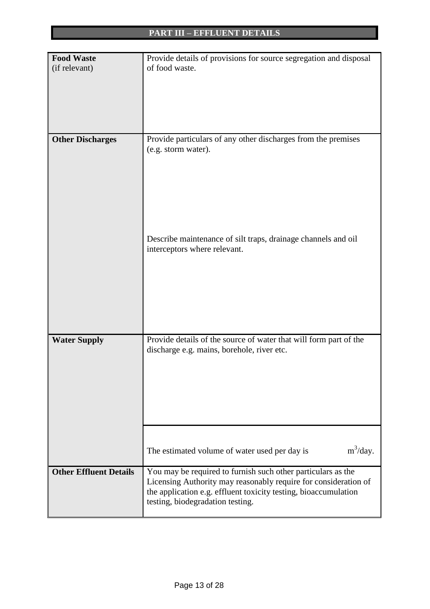| <b>Food Waste</b>             | Provide details of provisions for source segregation and disposal |  |  |  |  |  |  |  |
|-------------------------------|-------------------------------------------------------------------|--|--|--|--|--|--|--|
| (if relevant)                 | of food waste.                                                    |  |  |  |  |  |  |  |
|                               |                                                                   |  |  |  |  |  |  |  |
|                               |                                                                   |  |  |  |  |  |  |  |
|                               |                                                                   |  |  |  |  |  |  |  |
|                               |                                                                   |  |  |  |  |  |  |  |
|                               |                                                                   |  |  |  |  |  |  |  |
| <b>Other Discharges</b>       | Provide particulars of any other discharges from the premises     |  |  |  |  |  |  |  |
|                               | (e.g. storm water).                                               |  |  |  |  |  |  |  |
|                               |                                                                   |  |  |  |  |  |  |  |
|                               |                                                                   |  |  |  |  |  |  |  |
|                               |                                                                   |  |  |  |  |  |  |  |
|                               |                                                                   |  |  |  |  |  |  |  |
|                               |                                                                   |  |  |  |  |  |  |  |
|                               |                                                                   |  |  |  |  |  |  |  |
|                               |                                                                   |  |  |  |  |  |  |  |
|                               | Describe maintenance of silt traps, drainage channels and oil     |  |  |  |  |  |  |  |
|                               | interceptors where relevant.                                      |  |  |  |  |  |  |  |
|                               |                                                                   |  |  |  |  |  |  |  |
|                               |                                                                   |  |  |  |  |  |  |  |
|                               |                                                                   |  |  |  |  |  |  |  |
|                               |                                                                   |  |  |  |  |  |  |  |
|                               |                                                                   |  |  |  |  |  |  |  |
|                               |                                                                   |  |  |  |  |  |  |  |
| <b>Water Supply</b>           | Provide details of the source of water that will form part of the |  |  |  |  |  |  |  |
|                               | discharge e.g. mains, borehole, river etc.                        |  |  |  |  |  |  |  |
|                               |                                                                   |  |  |  |  |  |  |  |
|                               |                                                                   |  |  |  |  |  |  |  |
|                               |                                                                   |  |  |  |  |  |  |  |
|                               |                                                                   |  |  |  |  |  |  |  |
|                               |                                                                   |  |  |  |  |  |  |  |
|                               |                                                                   |  |  |  |  |  |  |  |
|                               |                                                                   |  |  |  |  |  |  |  |
|                               |                                                                   |  |  |  |  |  |  |  |
|                               | $m^3$ /day.<br>The estimated volume of water used per day is      |  |  |  |  |  |  |  |
| <b>Other Effluent Details</b> | You may be required to furnish such other particulars as the      |  |  |  |  |  |  |  |
|                               | Licensing Authority may reasonably require for consideration of   |  |  |  |  |  |  |  |
|                               | the application e.g. effluent toxicity testing, bioaccumulation   |  |  |  |  |  |  |  |
|                               | testing, biodegradation testing.                                  |  |  |  |  |  |  |  |
|                               |                                                                   |  |  |  |  |  |  |  |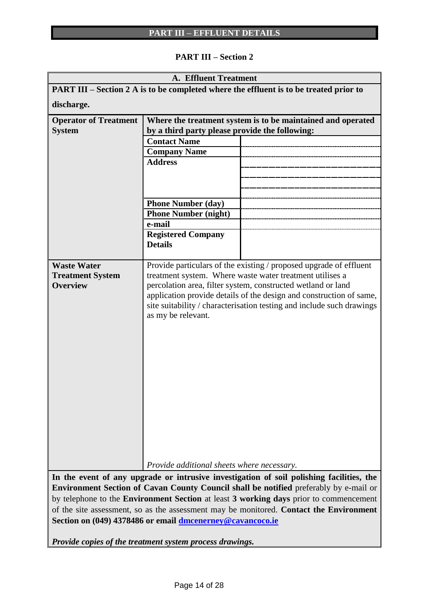## **PART III – Section 2**

|                                                                                          | <b>A. Effluent Treatment</b>                                |                                                                                        |  |  |  |  |  |  |
|------------------------------------------------------------------------------------------|-------------------------------------------------------------|----------------------------------------------------------------------------------------|--|--|--|--|--|--|
|                                                                                          |                                                             | PART III – Section 2 A is to be completed where the effluent is to be treated prior to |  |  |  |  |  |  |
| discharge.                                                                               |                                                             |                                                                                        |  |  |  |  |  |  |
| <b>Operator of Treatment</b>                                                             | Where the treatment system is to be maintained and operated |                                                                                        |  |  |  |  |  |  |
| <b>System</b>                                                                            | by a third party please provide the following:              |                                                                                        |  |  |  |  |  |  |
|                                                                                          | <b>Contact Name</b>                                         |                                                                                        |  |  |  |  |  |  |
|                                                                                          | <b>Company Name</b>                                         |                                                                                        |  |  |  |  |  |  |
|                                                                                          | <b>Address</b>                                              |                                                                                        |  |  |  |  |  |  |
|                                                                                          |                                                             |                                                                                        |  |  |  |  |  |  |
|                                                                                          |                                                             |                                                                                        |  |  |  |  |  |  |
|                                                                                          |                                                             |                                                                                        |  |  |  |  |  |  |
|                                                                                          | <b>Phone Number (day)</b>                                   |                                                                                        |  |  |  |  |  |  |
|                                                                                          | <b>Phone Number (night)</b><br>e-mail                       |                                                                                        |  |  |  |  |  |  |
|                                                                                          | <b>Registered Company</b>                                   |                                                                                        |  |  |  |  |  |  |
|                                                                                          | <b>Details</b>                                              |                                                                                        |  |  |  |  |  |  |
|                                                                                          |                                                             |                                                                                        |  |  |  |  |  |  |
| <b>Waste Water</b>                                                                       |                                                             | Provide particulars of the existing / proposed upgrade of effluent                     |  |  |  |  |  |  |
| <b>Treatment System</b>                                                                  |                                                             | treatment system. Where waste water treatment utilises a                               |  |  |  |  |  |  |
| <b>Overview</b>                                                                          |                                                             | percolation area, filter system, constructed wetland or land                           |  |  |  |  |  |  |
|                                                                                          |                                                             | application provide details of the design and construction of same,                    |  |  |  |  |  |  |
|                                                                                          |                                                             | site suitability / characterisation testing and include such drawings                  |  |  |  |  |  |  |
|                                                                                          | as my be relevant.                                          |                                                                                        |  |  |  |  |  |  |
|                                                                                          |                                                             |                                                                                        |  |  |  |  |  |  |
|                                                                                          |                                                             |                                                                                        |  |  |  |  |  |  |
|                                                                                          |                                                             |                                                                                        |  |  |  |  |  |  |
|                                                                                          |                                                             |                                                                                        |  |  |  |  |  |  |
|                                                                                          |                                                             |                                                                                        |  |  |  |  |  |  |
|                                                                                          |                                                             |                                                                                        |  |  |  |  |  |  |
|                                                                                          |                                                             |                                                                                        |  |  |  |  |  |  |
|                                                                                          |                                                             |                                                                                        |  |  |  |  |  |  |
|                                                                                          |                                                             |                                                                                        |  |  |  |  |  |  |
|                                                                                          |                                                             |                                                                                        |  |  |  |  |  |  |
|                                                                                          |                                                             |                                                                                        |  |  |  |  |  |  |
|                                                                                          |                                                             |                                                                                        |  |  |  |  |  |  |
|                                                                                          |                                                             |                                                                                        |  |  |  |  |  |  |
|                                                                                          | Provide additional sheets where necessary.                  |                                                                                        |  |  |  |  |  |  |
| In the event of any upgrade or intrusive investigation of soil polishing facilities, the |                                                             |                                                                                        |  |  |  |  |  |  |

**Environment Section of Cavan County Council shall be notified** preferably by e-mail or by telephone to the **Environment Section** at least **3 working days** prior to commencement of the site assessment, so as the assessment may be monitored. **Contact the Environment Section on (049) 4378486 or email [dmcenerney@cavancoco.ie](mailto:dmcenerney@cavancoco.ie)**

*Provide copies of the treatment system process drawings.*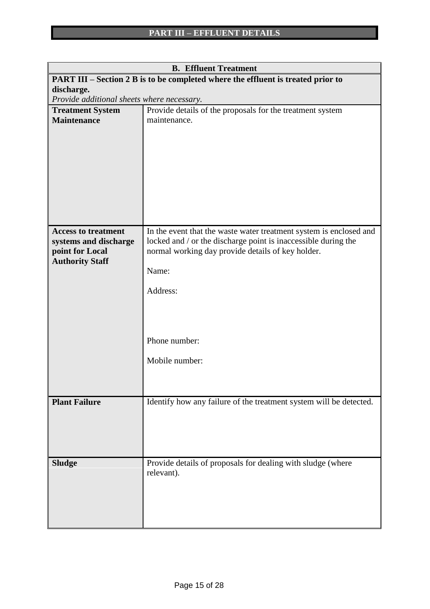| <b>B.</b> Effluent Treatment                                                            |                                                                    |  |  |  |  |  |  |  |
|-----------------------------------------------------------------------------------------|--------------------------------------------------------------------|--|--|--|--|--|--|--|
| <b>PART III – Section 2 B is to be completed where the effluent is treated prior to</b> |                                                                    |  |  |  |  |  |  |  |
| discharge.                                                                              |                                                                    |  |  |  |  |  |  |  |
| Provide additional sheets where necessary.                                              |                                                                    |  |  |  |  |  |  |  |
| <b>Treatment System</b>                                                                 | Provide details of the proposals for the treatment system          |  |  |  |  |  |  |  |
| <b>Maintenance</b>                                                                      | maintenance.                                                       |  |  |  |  |  |  |  |
|                                                                                         |                                                                    |  |  |  |  |  |  |  |
|                                                                                         |                                                                    |  |  |  |  |  |  |  |
|                                                                                         |                                                                    |  |  |  |  |  |  |  |
|                                                                                         |                                                                    |  |  |  |  |  |  |  |
|                                                                                         |                                                                    |  |  |  |  |  |  |  |
|                                                                                         |                                                                    |  |  |  |  |  |  |  |
|                                                                                         |                                                                    |  |  |  |  |  |  |  |
|                                                                                         |                                                                    |  |  |  |  |  |  |  |
|                                                                                         |                                                                    |  |  |  |  |  |  |  |
| <b>Access to treatment</b>                                                              | In the event that the waste water treatment system is enclosed and |  |  |  |  |  |  |  |
| systems and discharge                                                                   | locked and / or the discharge point is inaccessible during the     |  |  |  |  |  |  |  |
| point for Local                                                                         | normal working day provide details of key holder.                  |  |  |  |  |  |  |  |
| <b>Authority Staff</b>                                                                  |                                                                    |  |  |  |  |  |  |  |
|                                                                                         | Name:                                                              |  |  |  |  |  |  |  |
|                                                                                         |                                                                    |  |  |  |  |  |  |  |
|                                                                                         | Address:                                                           |  |  |  |  |  |  |  |
|                                                                                         |                                                                    |  |  |  |  |  |  |  |
|                                                                                         |                                                                    |  |  |  |  |  |  |  |
|                                                                                         |                                                                    |  |  |  |  |  |  |  |
|                                                                                         | Phone number:                                                      |  |  |  |  |  |  |  |
|                                                                                         |                                                                    |  |  |  |  |  |  |  |
|                                                                                         | Mobile number:                                                     |  |  |  |  |  |  |  |
|                                                                                         |                                                                    |  |  |  |  |  |  |  |
|                                                                                         |                                                                    |  |  |  |  |  |  |  |
|                                                                                         |                                                                    |  |  |  |  |  |  |  |
| <b>Plant Failure</b>                                                                    | Identify how any failure of the treatment system will be detected. |  |  |  |  |  |  |  |
|                                                                                         |                                                                    |  |  |  |  |  |  |  |
|                                                                                         |                                                                    |  |  |  |  |  |  |  |
|                                                                                         |                                                                    |  |  |  |  |  |  |  |
|                                                                                         |                                                                    |  |  |  |  |  |  |  |
| <b>Sludge</b>                                                                           | Provide details of proposals for dealing with sludge (where        |  |  |  |  |  |  |  |
|                                                                                         | relevant).                                                         |  |  |  |  |  |  |  |
|                                                                                         |                                                                    |  |  |  |  |  |  |  |
|                                                                                         |                                                                    |  |  |  |  |  |  |  |
|                                                                                         |                                                                    |  |  |  |  |  |  |  |
|                                                                                         |                                                                    |  |  |  |  |  |  |  |
|                                                                                         |                                                                    |  |  |  |  |  |  |  |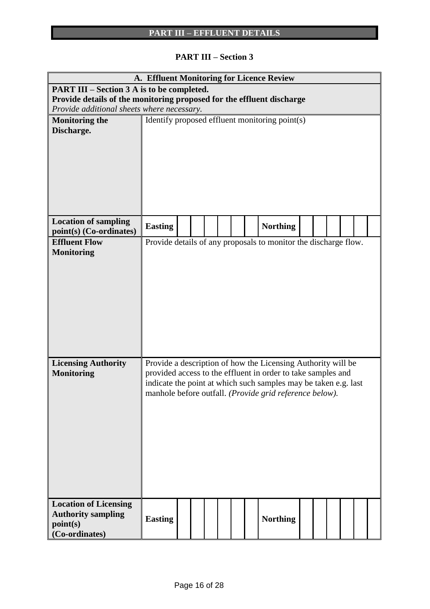## **PART III – Section 3**

|                                                                       |                                            |                                                |  |  |  |  |  | A. Effluent Monitoring for Licence Review                       |  |  |  |  |  |
|-----------------------------------------------------------------------|--------------------------------------------|------------------------------------------------|--|--|--|--|--|-----------------------------------------------------------------|--|--|--|--|--|
| <b>PART III – Section 3 A is to be completed.</b>                     |                                            |                                                |  |  |  |  |  |                                                                 |  |  |  |  |  |
| Provide details of the monitoring proposed for the effluent discharge |                                            |                                                |  |  |  |  |  |                                                                 |  |  |  |  |  |
|                                                                       | Provide additional sheets where necessary. |                                                |  |  |  |  |  |                                                                 |  |  |  |  |  |
| <b>Monitoring the</b>                                                 |                                            | Identify proposed effluent monitoring point(s) |  |  |  |  |  |                                                                 |  |  |  |  |  |
| Discharge.                                                            |                                            |                                                |  |  |  |  |  |                                                                 |  |  |  |  |  |
|                                                                       |                                            |                                                |  |  |  |  |  |                                                                 |  |  |  |  |  |
|                                                                       |                                            |                                                |  |  |  |  |  |                                                                 |  |  |  |  |  |
|                                                                       |                                            |                                                |  |  |  |  |  |                                                                 |  |  |  |  |  |
|                                                                       |                                            |                                                |  |  |  |  |  |                                                                 |  |  |  |  |  |
|                                                                       |                                            |                                                |  |  |  |  |  |                                                                 |  |  |  |  |  |
|                                                                       |                                            |                                                |  |  |  |  |  |                                                                 |  |  |  |  |  |
|                                                                       |                                            |                                                |  |  |  |  |  |                                                                 |  |  |  |  |  |
| <b>Location of sampling</b>                                           |                                            |                                                |  |  |  |  |  |                                                                 |  |  |  |  |  |
| point(s) (Co-ordinates)                                               | <b>Easting</b>                             |                                                |  |  |  |  |  | <b>Northing</b>                                                 |  |  |  |  |  |
| <b>Effluent Flow</b>                                                  |                                            |                                                |  |  |  |  |  | Provide details of any proposals to monitor the discharge flow. |  |  |  |  |  |
| <b>Monitoring</b>                                                     |                                            |                                                |  |  |  |  |  |                                                                 |  |  |  |  |  |
|                                                                       |                                            |                                                |  |  |  |  |  |                                                                 |  |  |  |  |  |
|                                                                       |                                            |                                                |  |  |  |  |  |                                                                 |  |  |  |  |  |
|                                                                       |                                            |                                                |  |  |  |  |  |                                                                 |  |  |  |  |  |
|                                                                       |                                            |                                                |  |  |  |  |  |                                                                 |  |  |  |  |  |
|                                                                       |                                            |                                                |  |  |  |  |  |                                                                 |  |  |  |  |  |
|                                                                       |                                            |                                                |  |  |  |  |  |                                                                 |  |  |  |  |  |
|                                                                       |                                            |                                                |  |  |  |  |  |                                                                 |  |  |  |  |  |
|                                                                       |                                            |                                                |  |  |  |  |  |                                                                 |  |  |  |  |  |
|                                                                       |                                            |                                                |  |  |  |  |  |                                                                 |  |  |  |  |  |
| <b>Licensing Authority</b>                                            |                                            |                                                |  |  |  |  |  | Provide a description of how the Licensing Authority will be    |  |  |  |  |  |
| <b>Monitoring</b>                                                     |                                            |                                                |  |  |  |  |  | provided access to the effluent in order to take samples and    |  |  |  |  |  |
|                                                                       |                                            |                                                |  |  |  |  |  | indicate the point at which such samples may be taken e.g. last |  |  |  |  |  |
|                                                                       |                                            |                                                |  |  |  |  |  | manhole before outfall. (Provide grid reference below).         |  |  |  |  |  |
|                                                                       |                                            |                                                |  |  |  |  |  |                                                                 |  |  |  |  |  |
|                                                                       |                                            |                                                |  |  |  |  |  |                                                                 |  |  |  |  |  |
|                                                                       |                                            |                                                |  |  |  |  |  |                                                                 |  |  |  |  |  |
|                                                                       |                                            |                                                |  |  |  |  |  |                                                                 |  |  |  |  |  |
|                                                                       |                                            |                                                |  |  |  |  |  |                                                                 |  |  |  |  |  |
|                                                                       |                                            |                                                |  |  |  |  |  |                                                                 |  |  |  |  |  |
|                                                                       |                                            |                                                |  |  |  |  |  |                                                                 |  |  |  |  |  |
|                                                                       |                                            |                                                |  |  |  |  |  |                                                                 |  |  |  |  |  |
|                                                                       |                                            |                                                |  |  |  |  |  |                                                                 |  |  |  |  |  |
| <b>Location of Licensing</b>                                          |                                            |                                                |  |  |  |  |  |                                                                 |  |  |  |  |  |
| <b>Authority sampling</b>                                             |                                            |                                                |  |  |  |  |  |                                                                 |  |  |  |  |  |
| point(s)                                                              | <b>Easting</b>                             |                                                |  |  |  |  |  | <b>Northing</b>                                                 |  |  |  |  |  |
| (Co-ordinates)                                                        |                                            |                                                |  |  |  |  |  |                                                                 |  |  |  |  |  |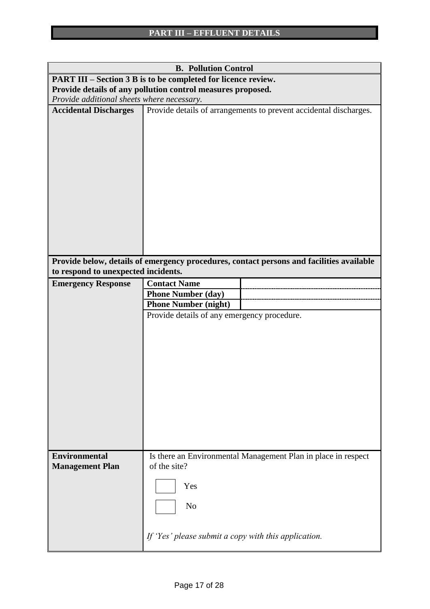|                                                             | <b>B. Pollution Control</b>                                                              |  |  |  |  |  |  |  |  |
|-------------------------------------------------------------|------------------------------------------------------------------------------------------|--|--|--|--|--|--|--|--|
|                                                             | PART III – Section 3 B is to be completed for licence review.                            |  |  |  |  |  |  |  |  |
| Provide details of any pollution control measures proposed. |                                                                                          |  |  |  |  |  |  |  |  |
| Provide additional sheets where necessary.                  |                                                                                          |  |  |  |  |  |  |  |  |
| <b>Accidental Discharges</b>                                | Provide details of arrangements to prevent accidental discharges.                        |  |  |  |  |  |  |  |  |
|                                                             |                                                                                          |  |  |  |  |  |  |  |  |
| to respond to unexpected incidents.                         | Provide below, details of emergency procedures, contact persons and facilities available |  |  |  |  |  |  |  |  |
| <b>Emergency Response</b>                                   | <b>Contact Name</b>                                                                      |  |  |  |  |  |  |  |  |
|                                                             | <b>Phone Number (day)</b>                                                                |  |  |  |  |  |  |  |  |
|                                                             | <b>Phone Number (night)</b>                                                              |  |  |  |  |  |  |  |  |
|                                                             | Provide details of any emergency procedure.                                              |  |  |  |  |  |  |  |  |
|                                                             |                                                                                          |  |  |  |  |  |  |  |  |
|                                                             |                                                                                          |  |  |  |  |  |  |  |  |
|                                                             |                                                                                          |  |  |  |  |  |  |  |  |
|                                                             |                                                                                          |  |  |  |  |  |  |  |  |
|                                                             |                                                                                          |  |  |  |  |  |  |  |  |
|                                                             |                                                                                          |  |  |  |  |  |  |  |  |
|                                                             |                                                                                          |  |  |  |  |  |  |  |  |
|                                                             |                                                                                          |  |  |  |  |  |  |  |  |
|                                                             |                                                                                          |  |  |  |  |  |  |  |  |
|                                                             |                                                                                          |  |  |  |  |  |  |  |  |
|                                                             |                                                                                          |  |  |  |  |  |  |  |  |
|                                                             |                                                                                          |  |  |  |  |  |  |  |  |
|                                                             |                                                                                          |  |  |  |  |  |  |  |  |
|                                                             |                                                                                          |  |  |  |  |  |  |  |  |
| <b>Environmental</b>                                        | Is there an Environmental Management Plan in place in respect                            |  |  |  |  |  |  |  |  |
| <b>Management Plan</b>                                      | of the site?                                                                             |  |  |  |  |  |  |  |  |
|                                                             |                                                                                          |  |  |  |  |  |  |  |  |
|                                                             | Yes                                                                                      |  |  |  |  |  |  |  |  |
|                                                             |                                                                                          |  |  |  |  |  |  |  |  |
|                                                             | N <sub>o</sub>                                                                           |  |  |  |  |  |  |  |  |
|                                                             |                                                                                          |  |  |  |  |  |  |  |  |
|                                                             | If 'Yes' please submit a copy with this application.                                     |  |  |  |  |  |  |  |  |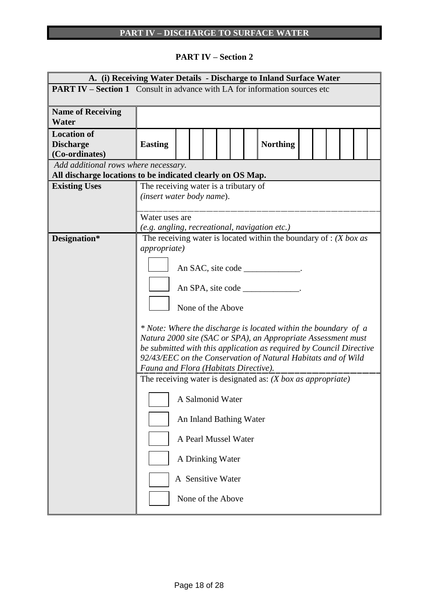## **PART IV – Section 2**

| A. (i) Receiving Water Details - Discharge to Inland Surface Water                |                                               |                   |  |  |  |                         |  |                                                                     |  |  |  |  |
|-----------------------------------------------------------------------------------|-----------------------------------------------|-------------------|--|--|--|-------------------------|--|---------------------------------------------------------------------|--|--|--|--|
| <b>PART IV – Section 1</b> Consult in advance with LA for information sources etc |                                               |                   |  |  |  |                         |  |                                                                     |  |  |  |  |
|                                                                                   |                                               |                   |  |  |  |                         |  |                                                                     |  |  |  |  |
| <b>Name of Receiving</b><br>Water                                                 |                                               |                   |  |  |  |                         |  |                                                                     |  |  |  |  |
| <b>Location of</b><br><b>Discharge</b>                                            | <b>Easting</b>                                |                   |  |  |  |                         |  | <b>Northing</b>                                                     |  |  |  |  |
| (Co-ordinates)                                                                    |                                               |                   |  |  |  |                         |  |                                                                     |  |  |  |  |
| Add additional rows where necessary.                                              |                                               |                   |  |  |  |                         |  |                                                                     |  |  |  |  |
| All discharge locations to be indicated clearly on OS Map.                        |                                               |                   |  |  |  |                         |  |                                                                     |  |  |  |  |
| <b>Existing Uses</b>                                                              | The receiving water is a tributary of         |                   |  |  |  |                         |  |                                                                     |  |  |  |  |
|                                                                                   | (insert water body name).                     |                   |  |  |  |                         |  |                                                                     |  |  |  |  |
|                                                                                   | Water uses are                                |                   |  |  |  |                         |  |                                                                     |  |  |  |  |
|                                                                                   | (e.g. angling, recreational, navigation etc.) |                   |  |  |  |                         |  |                                                                     |  |  |  |  |
| Designation*                                                                      |                                               |                   |  |  |  |                         |  | The receiving water is located within the boundary of : (X box as   |  |  |  |  |
|                                                                                   | <i>appropriate</i> )                          |                   |  |  |  |                         |  |                                                                     |  |  |  |  |
|                                                                                   |                                               |                   |  |  |  |                         |  |                                                                     |  |  |  |  |
|                                                                                   |                                               |                   |  |  |  |                         |  | An SAC, site code                                                   |  |  |  |  |
|                                                                                   |                                               |                   |  |  |  |                         |  |                                                                     |  |  |  |  |
|                                                                                   |                                               |                   |  |  |  |                         |  | An SPA, site code _______________.                                  |  |  |  |  |
|                                                                                   |                                               |                   |  |  |  |                         |  |                                                                     |  |  |  |  |
|                                                                                   |                                               | None of the Above |  |  |  |                         |  |                                                                     |  |  |  |  |
|                                                                                   |                                               |                   |  |  |  |                         |  | * Note: Where the discharge is located within the boundary of a     |  |  |  |  |
|                                                                                   |                                               |                   |  |  |  |                         |  | Natura 2000 site (SAC or SPA), an Appropriate Assessment must       |  |  |  |  |
|                                                                                   |                                               |                   |  |  |  |                         |  | be submitted with this application as required by Council Directive |  |  |  |  |
|                                                                                   |                                               |                   |  |  |  |                         |  | 92/43/EEC on the Conservation of Natural Habitats and of Wild       |  |  |  |  |
|                                                                                   | Fauna and Flora (Habitats Directive).         |                   |  |  |  |                         |  |                                                                     |  |  |  |  |
|                                                                                   |                                               |                   |  |  |  |                         |  | The receiving water is designated as: $(X$ box as appropriate)      |  |  |  |  |
|                                                                                   |                                               | A Salmonid Water  |  |  |  |                         |  |                                                                     |  |  |  |  |
|                                                                                   |                                               |                   |  |  |  | An Inland Bathing Water |  |                                                                     |  |  |  |  |
|                                                                                   |                                               |                   |  |  |  | A Pearl Mussel Water    |  |                                                                     |  |  |  |  |
|                                                                                   |                                               | A Drinking Water  |  |  |  |                         |  |                                                                     |  |  |  |  |
|                                                                                   |                                               | A Sensitive Water |  |  |  |                         |  |                                                                     |  |  |  |  |
|                                                                                   |                                               |                   |  |  |  | None of the Above       |  |                                                                     |  |  |  |  |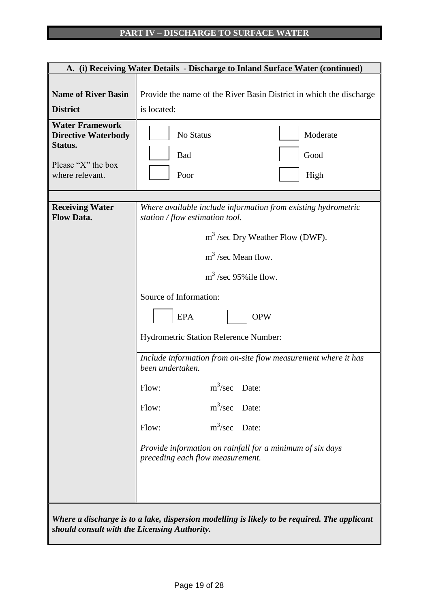## **PART IV – DISCHARGE TO SURFACE WATER**

|                                                                                                          | A. (i) Receiving Water Details - Discharge to Inland Surface Water (continued)                                                                                                                                                                                                                                                                                                                                                                                                                                                                                           |
|----------------------------------------------------------------------------------------------------------|--------------------------------------------------------------------------------------------------------------------------------------------------------------------------------------------------------------------------------------------------------------------------------------------------------------------------------------------------------------------------------------------------------------------------------------------------------------------------------------------------------------------------------------------------------------------------|
| <b>Name of River Basin</b><br><b>District</b>                                                            | Provide the name of the River Basin District in which the discharge<br>is located:                                                                                                                                                                                                                                                                                                                                                                                                                                                                                       |
| <b>Water Framework</b><br><b>Directive Waterbody</b><br>Status.<br>Please "X" the box<br>where relevant. | Moderate<br>No Status<br>Good<br><b>Bad</b><br>High<br>Poor                                                                                                                                                                                                                                                                                                                                                                                                                                                                                                              |
| <b>Receiving Water</b><br><b>Flow Data.</b>                                                              | Where available include information from existing hydrometric<br>station / flow estimation tool.<br>$m3$ /sec Dry Weather Flow (DWF).<br>$m3$ /sec Mean flow.<br>$m^3$ /sec 95% ile flow.<br>Source of Information:<br><b>OPW</b><br><b>EPA</b><br>Hydrometric Station Reference Number:<br>Include information from on-site flow measurement where it has<br>been undertaken.<br>$m^3/sec$<br>Flow:<br>Date:<br>$m^3$ /sec Date:<br>Flow:<br>$m^3$ /sec Date:<br>Flow:<br>Provide information on rainfall for a minimum of six days<br>preceding each flow measurement. |
| should consult with the Licensing Authority.                                                             | Where a discharge is to a lake, dispersion modelling is likely to be required. The applicant                                                                                                                                                                                                                                                                                                                                                                                                                                                                             |

*should consult with the Licensing Authority.*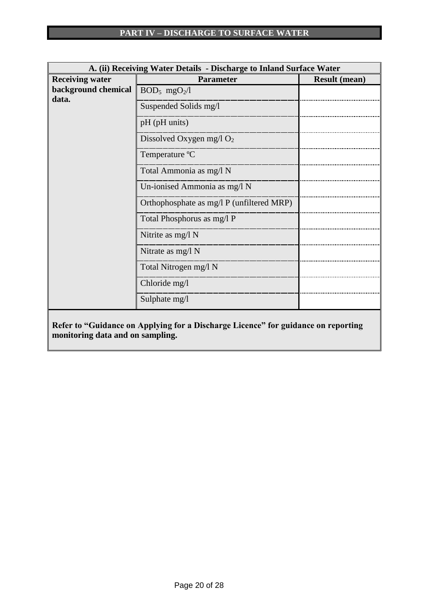| A. (ii) Receiving Water Details - Discharge to Inland Surface Water |                                                                                   |                      |  |  |  |  |  |  |
|---------------------------------------------------------------------|-----------------------------------------------------------------------------------|----------------------|--|--|--|--|--|--|
| <b>Receiving water</b>                                              | <b>Parameter</b>                                                                  | <b>Result (mean)</b> |  |  |  |  |  |  |
| background chemical<br>data.                                        | $BOD_5$ mgO <sub>2</sub> /l                                                       |                      |  |  |  |  |  |  |
|                                                                     | Suspended Solids mg/l                                                             |                      |  |  |  |  |  |  |
|                                                                     | pH (pH units)                                                                     |                      |  |  |  |  |  |  |
|                                                                     | Dissolved Oxygen mg/l $O_2$                                                       |                      |  |  |  |  |  |  |
|                                                                     | Temperature °C                                                                    |                      |  |  |  |  |  |  |
|                                                                     | Total Ammonia as mg/l N                                                           |                      |  |  |  |  |  |  |
|                                                                     | Un-ionised Ammonia as mg/l N                                                      |                      |  |  |  |  |  |  |
|                                                                     | Orthophosphate as mg/l P (unfiltered MRP)                                         |                      |  |  |  |  |  |  |
|                                                                     | Total Phosphorus as mg/l P                                                        |                      |  |  |  |  |  |  |
|                                                                     | Nitrite as mg/l N                                                                 |                      |  |  |  |  |  |  |
|                                                                     | Nitrate as mg/l N                                                                 |                      |  |  |  |  |  |  |
|                                                                     | Total Nitrogen mg/l N                                                             |                      |  |  |  |  |  |  |
|                                                                     | Chloride mg/l                                                                     |                      |  |  |  |  |  |  |
|                                                                     | Sulphate mg/l                                                                     |                      |  |  |  |  |  |  |
|                                                                     | Refer to "Guidance on Applying for a Discharge Licence" for guidance on reporting |                      |  |  |  |  |  |  |
| monitoring data and on sampling.                                    |                                                                                   |                      |  |  |  |  |  |  |

**monitoring data and on sampling.**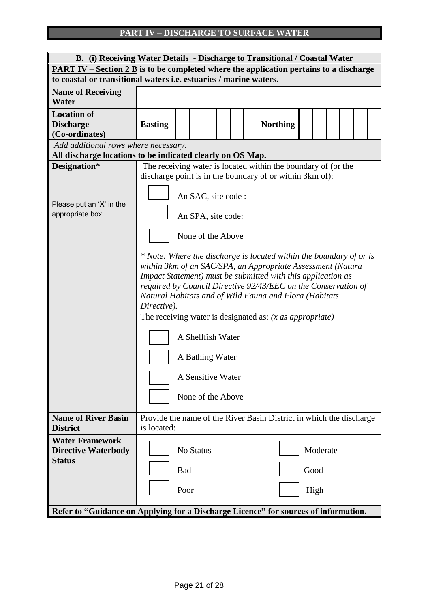## **PART IV – DISCHARGE TO SURFACE WATER**

| B. (i) Receiving Water Details - Discharge to Transitional / Coastal Water                       |                                         |                                                                                                                                                                                                                                                                                                                                |  |  |  |  |                                                                                                                           |  |                          |  |  |  |
|--------------------------------------------------------------------------------------------------|-----------------------------------------|--------------------------------------------------------------------------------------------------------------------------------------------------------------------------------------------------------------------------------------------------------------------------------------------------------------------------------|--|--|--|--|---------------------------------------------------------------------------------------------------------------------------|--|--------------------------|--|--|--|
| PART IV – Section 2 B is to be completed where the application pertains to a discharge           |                                         |                                                                                                                                                                                                                                                                                                                                |  |  |  |  |                                                                                                                           |  |                          |  |  |  |
| to coastal or transitional waters i.e. estuaries / marine waters.                                |                                         |                                                                                                                                                                                                                                                                                                                                |  |  |  |  |                                                                                                                           |  |                          |  |  |  |
| <b>Name of Receiving</b><br>Water                                                                |                                         |                                                                                                                                                                                                                                                                                                                                |  |  |  |  |                                                                                                                           |  |                          |  |  |  |
| <b>Location of</b><br><b>Discharge</b><br>(Co-ordinates)<br>Add additional rows where necessary. | <b>Easting</b>                          |                                                                                                                                                                                                                                                                                                                                |  |  |  |  | <b>Northing</b>                                                                                                           |  |                          |  |  |  |
| All discharge locations to be indicated clearly on OS Map.                                       |                                         |                                                                                                                                                                                                                                                                                                                                |  |  |  |  |                                                                                                                           |  |                          |  |  |  |
| Designation*<br>Please put an 'X' in the                                                         |                                         | An SAC, site code :                                                                                                                                                                                                                                                                                                            |  |  |  |  | The receiving water is located within the boundary of (or the<br>discharge point is in the boundary of or within 3km of): |  |                          |  |  |  |
| appropriate box                                                                                  | An SPA, site code:<br>None of the Above |                                                                                                                                                                                                                                                                                                                                |  |  |  |  |                                                                                                                           |  |                          |  |  |  |
|                                                                                                  | Directive).                             | * Note: Where the discharge is located within the boundary of or is<br>within 3km of an SAC/SPA, an Appropriate Assessment (Natura<br>Impact Statement) must be submitted with this application as<br>required by Council Directive 92/43/EEC on the Conservation of<br>Natural Habitats and of Wild Fauna and Flora (Habitats |  |  |  |  |                                                                                                                           |  |                          |  |  |  |
|                                                                                                  |                                         | A Shellfish Water<br>A Bathing Water<br>A Sensitive Water<br>None of the Above                                                                                                                                                                                                                                                 |  |  |  |  | The receiving water is designated as: $(x \text{ as appropriate})$                                                        |  |                          |  |  |  |
| <b>Name of River Basin</b><br><b>District</b>                                                    | is located:                             |                                                                                                                                                                                                                                                                                                                                |  |  |  |  | Provide the name of the River Basin District in which the discharge                                                       |  |                          |  |  |  |
| <b>Water Framework</b><br><b>Directive Waterbody</b><br><b>Status</b>                            |                                         | No Status<br><b>Bad</b><br>Poor                                                                                                                                                                                                                                                                                                |  |  |  |  |                                                                                                                           |  | Moderate<br>Good<br>High |  |  |  |
| Refer to "Guidance on Applying for a Discharge Licence" for sources of information.              |                                         |                                                                                                                                                                                                                                                                                                                                |  |  |  |  |                                                                                                                           |  |                          |  |  |  |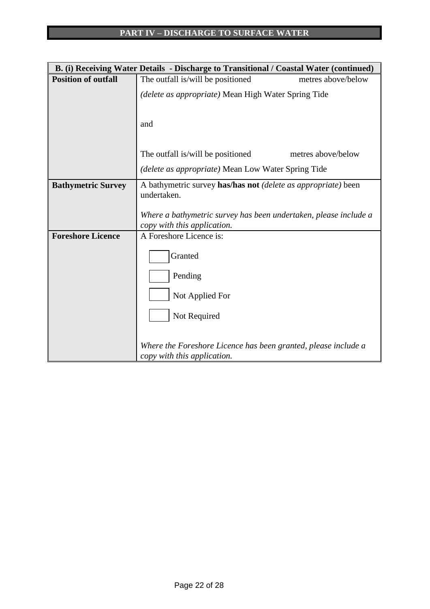|                            | B. (i) Receiving Water Details - Discharge to Transitional / Coastal Water (continued) |
|----------------------------|----------------------------------------------------------------------------------------|
| <b>Position of outfall</b> | The outfall is/will be positioned<br>metres above/below                                |
|                            | (delete as appropriate) Mean High Water Spring Tide                                    |
|                            |                                                                                        |
|                            | and                                                                                    |
|                            |                                                                                        |
|                            | metres above/below<br>The outfall is/will be positioned                                |
|                            | (delete as appropriate) Mean Low Water Spring Tide                                     |
| <b>Bathymetric Survey</b>  | A bathymetric survey has/has not (delete as appropriate) been<br>undertaken.           |
|                            |                                                                                        |
|                            | Where a bathymetric survey has been undertaken, please include a                       |
|                            | copy with this application.                                                            |
| <b>Foreshore Licence</b>   | A Foreshore Licence is:                                                                |
|                            | Granted                                                                                |
|                            | Pending                                                                                |
|                            | Not Applied For                                                                        |
|                            |                                                                                        |
|                            | Not Required                                                                           |
|                            |                                                                                        |
|                            | Where the Foreshore Licence has been granted, please include a                         |
|                            | copy with this application.                                                            |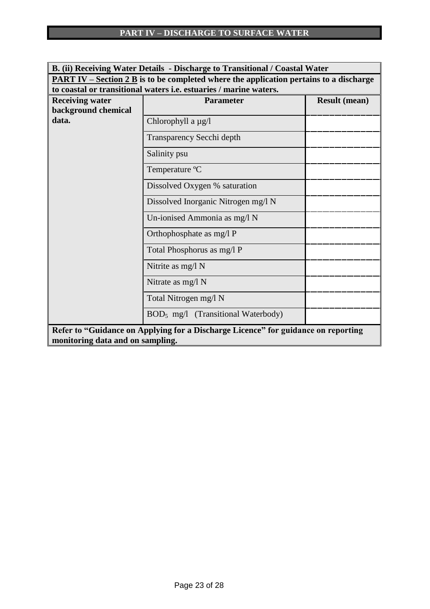| B. (ii) Receiving Water Details - Discharge to Transitional / Coastal Water                   |                                                                                   |  |  |  |  |  |  |  |
|-----------------------------------------------------------------------------------------------|-----------------------------------------------------------------------------------|--|--|--|--|--|--|--|
| <b>PART IV</b> – Section 2 B is to be completed where the application pertains to a discharge |                                                                                   |  |  |  |  |  |  |  |
| to coastal or transitional waters i.e. estuaries / marine waters.                             |                                                                                   |  |  |  |  |  |  |  |
| <b>Receiving water</b>                                                                        | <b>Parameter</b><br><b>Result (mean)</b>                                          |  |  |  |  |  |  |  |
| background chemical                                                                           |                                                                                   |  |  |  |  |  |  |  |
| data.                                                                                         | Chlorophyll a µg/l                                                                |  |  |  |  |  |  |  |
|                                                                                               | Transparency Secchi depth                                                         |  |  |  |  |  |  |  |
|                                                                                               | Salinity psu                                                                      |  |  |  |  |  |  |  |
|                                                                                               | Temperature °C                                                                    |  |  |  |  |  |  |  |
|                                                                                               | Dissolved Oxygen % saturation                                                     |  |  |  |  |  |  |  |
|                                                                                               | Dissolved Inorganic Nitrogen mg/l N                                               |  |  |  |  |  |  |  |
|                                                                                               | Un-ionised Ammonia as mg/l N                                                      |  |  |  |  |  |  |  |
|                                                                                               | Orthophosphate as mg/l P                                                          |  |  |  |  |  |  |  |
|                                                                                               | Total Phosphorus as mg/l P                                                        |  |  |  |  |  |  |  |
|                                                                                               | Nitrite as mg/l N                                                                 |  |  |  |  |  |  |  |
|                                                                                               | Nitrate as $mg/l$ N                                                               |  |  |  |  |  |  |  |
|                                                                                               | Total Nitrogen mg/l N                                                             |  |  |  |  |  |  |  |
|                                                                                               | $BOD5$ mg/l (Transitional Waterbody)                                              |  |  |  |  |  |  |  |
|                                                                                               | Refer to "Guidance on Applying for a Discharge Licence" for guidance on reporting |  |  |  |  |  |  |  |
| monitoring data and on sampling.                                                              |                                                                                   |  |  |  |  |  |  |  |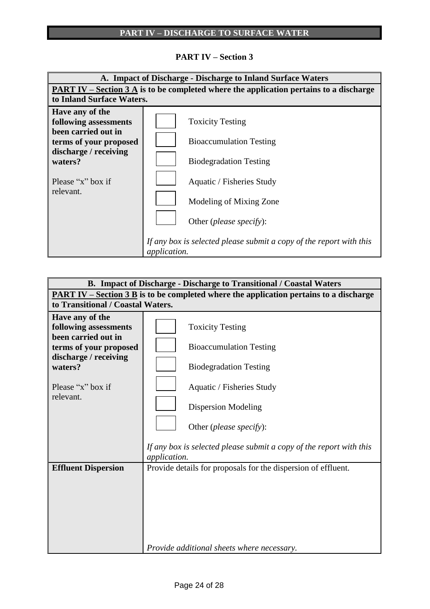## **PART IV – Section 3**



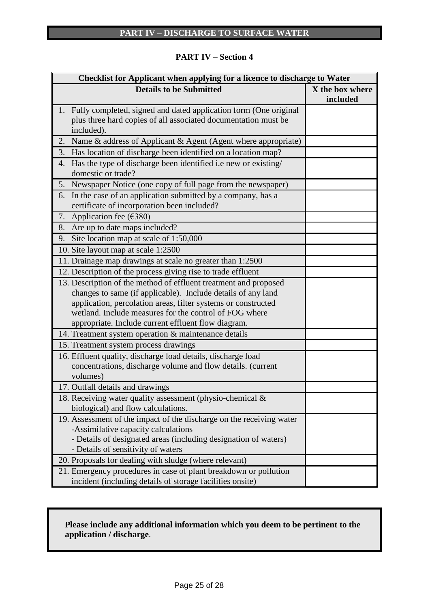|  | <b>PART IV – Section 4</b> |  |
|--|----------------------------|--|
|--|----------------------------|--|

| Checklist for Applicant when applying for a licence to discharge to Water                                                     |                             |
|-------------------------------------------------------------------------------------------------------------------------------|-----------------------------|
| <b>Details to be Submitted</b>                                                                                                | X the box where<br>included |
| 1. Fully completed, signed and dated application form (One original                                                           |                             |
| plus three hard copies of all associated documentation must be                                                                |                             |
| included).                                                                                                                    |                             |
| 2. Name & address of Applicant & Agent (Agent where appropriate)                                                              |                             |
| 3. Has location of discharge been identified on a location map?                                                               |                             |
| Has the type of discharge been identified i.e new or existing/<br>4.<br>domestic or trade?                                    |                             |
| 5. Newspaper Notice (one copy of full page from the newspaper)                                                                |                             |
| In the case of an application submitted by a company, has a<br>6.<br>certificate of incorporation been included?              |                             |
| Application fee $(6380)$<br>7.                                                                                                |                             |
| Are up to date maps included?<br>8.                                                                                           |                             |
| Site location map at scale of 1:50,000<br>9.                                                                                  |                             |
| 10. Site layout map at scale 1:2500                                                                                           |                             |
| 11. Drainage map drawings at scale no greater than 1:2500                                                                     |                             |
| 12. Description of the process giving rise to trade effluent                                                                  |                             |
| 13. Description of the method of effluent treatment and proposed                                                              |                             |
| changes to same (if applicable). Include details of any land<br>application, percolation areas, filter systems or constructed |                             |
| wetland. Include measures for the control of FOG where                                                                        |                             |
| appropriate. Include current effluent flow diagram.                                                                           |                             |
| 14. Treatment system operation & maintenance details                                                                          |                             |
| 15. Treatment system process drawings                                                                                         |                             |
| 16. Effluent quality, discharge load details, discharge load                                                                  |                             |
| concentrations, discharge volume and flow details. (current                                                                   |                             |
| volumes)                                                                                                                      |                             |
| 17. Outfall details and drawings                                                                                              |                             |
| 18. Receiving water quality assessment (physio-chemical &                                                                     |                             |
| biological) and flow calculations.                                                                                            |                             |
| 19. Assessment of the impact of the discharge on the receiving water                                                          |                             |
| -Assimilative capacity calculations                                                                                           |                             |
| - Details of designated areas (including designation of waters)                                                               |                             |
| - Details of sensitivity of waters                                                                                            |                             |
| 20. Proposals for dealing with sludge (where relevant)                                                                        |                             |
| 21. Emergency procedures in case of plant breakdown or pollution                                                              |                             |
| incident (including details of storage facilities onsite)                                                                     |                             |

## **Please include any additional information which you deem to be pertinent to the application / discharge**.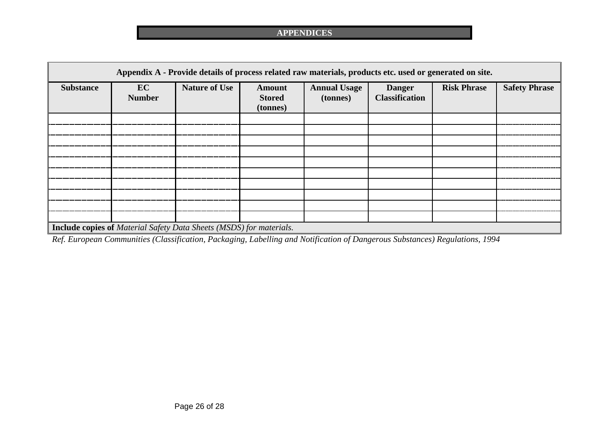| Appendix A - Provide details of process related raw materials, products etc. used or generated on site. |                     |                      |                                            |                                 |                                        |                    |                      |
|---------------------------------------------------------------------------------------------------------|---------------------|----------------------|--------------------------------------------|---------------------------------|----------------------------------------|--------------------|----------------------|
| <b>Substance</b>                                                                                        | EC<br><b>Number</b> | <b>Nature of Use</b> | <b>Amount</b><br><b>Stored</b><br>(tonnes) | <b>Annual Usage</b><br>(tonnes) | <b>Danger</b><br><b>Classification</b> | <b>Risk Phrase</b> | <b>Safety Phrase</b> |
|                                                                                                         |                     |                      |                                            |                                 |                                        |                    |                      |
|                                                                                                         |                     |                      |                                            |                                 |                                        |                    |                      |
|                                                                                                         |                     |                      |                                            |                                 |                                        |                    |                      |
|                                                                                                         |                     |                      |                                            |                                 |                                        |                    |                      |
|                                                                                                         |                     |                      |                                            |                                 |                                        |                    |                      |
|                                                                                                         |                     |                      |                                            |                                 |                                        |                    |                      |
|                                                                                                         |                     |                      |                                            |                                 |                                        |                    |                      |
|                                                                                                         |                     |                      |                                            |                                 |                                        |                    |                      |
|                                                                                                         |                     |                      |                                            |                                 |                                        |                    |                      |
|                                                                                                         |                     |                      |                                            |                                 |                                        |                    |                      |
| <b>Include copies of Material Safety Data Sheets (MSDS) for materials.</b>                              |                     |                      |                                            |                                 |                                        |                    |                      |

*Ref. European Communities (Classification, Packaging, Labelling and Notification of Dangerous Substances) Regulations, 1994*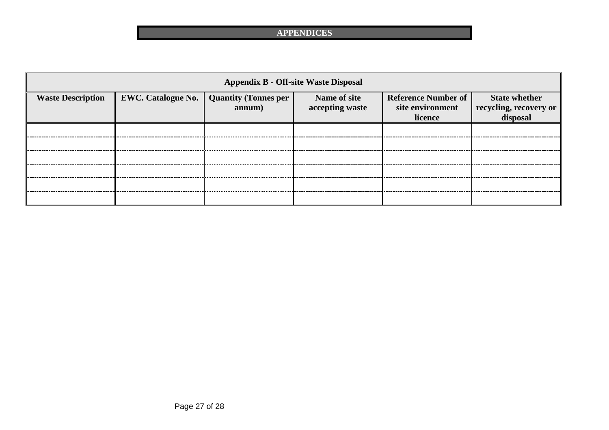| <b>Appendix B - Off-site Waste Disposal</b> |                                                  |        |                                 |                                                           |                                                            |  |
|---------------------------------------------|--------------------------------------------------|--------|---------------------------------|-----------------------------------------------------------|------------------------------------------------------------|--|
| <b>Waste Description</b>                    | <b>EWC. Catalogue No.   Quantity (Tonnes per</b> | annum) | Name of site<br>accepting waste | <b>Reference Number of</b><br>site environment<br>licence | <b>State whether</b><br>recycling, recovery or<br>disposal |  |
|                                             |                                                  |        |                                 |                                                           |                                                            |  |
|                                             |                                                  |        |                                 |                                                           |                                                            |  |
|                                             |                                                  |        |                                 |                                                           |                                                            |  |
|                                             |                                                  |        |                                 |                                                           |                                                            |  |
|                                             |                                                  |        |                                 |                                                           |                                                            |  |
|                                             |                                                  |        |                                 |                                                           |                                                            |  |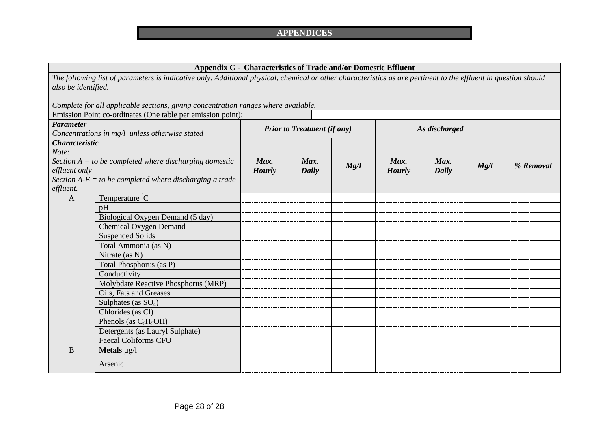## **Appendix C - Characteristics of Trade and/or Domestic Effluent**

*The following list of parameters is indicative only. Additional physical, chemical or other characteristics as are pertinent to the effluent in question should also be identified.*

*Complete for all applicable sections, giving concentration ranges where available.* 

|                                                                    | Emission Point co-ordinates (One table per emission point): |                                    |       |      |               |              |      |           |
|--------------------------------------------------------------------|-------------------------------------------------------------|------------------------------------|-------|------|---------------|--------------|------|-----------|
| <b>Parameter</b><br>Concentrations in mg/l unless otherwise stated |                                                             | <b>Prior to Treatment (if any)</b> |       |      | As discharged |              |      |           |
|                                                                    |                                                             |                                    |       |      |               |              |      |           |
| <b>Characteristic</b>                                              |                                                             |                                    |       |      |               |              |      |           |
| Note:                                                              |                                                             |                                    |       |      |               |              |      |           |
|                                                                    | Section $A = to$ be completed where discharging domestic    | Max.                               | Max.  | Mg/l | Max.          | Max.         | Mg/l | % Removal |
| effluent only                                                      |                                                             | <b>Hourly</b>                      | Daily |      | <b>Hourly</b> | <b>Daily</b> |      |           |
|                                                                    | Section $A-E = to$ be completed where discharging a trade   |                                    |       |      |               |              |      |           |
| effluent.                                                          |                                                             |                                    |       |      |               |              |      |           |
| $\mathbf{A}$                                                       | Temperature °C                                              |                                    |       |      |               |              |      |           |
|                                                                    | pH                                                          |                                    |       |      |               |              |      |           |
|                                                                    | Biological Oxygen Demand (5 day)                            |                                    |       |      |               |              |      |           |
|                                                                    | Chemical Oxygen Demand                                      |                                    |       |      |               |              |      |           |
|                                                                    | <b>Suspended Solids</b>                                     |                                    |       |      |               |              |      |           |
|                                                                    | Total Ammonia (as N)                                        |                                    |       |      |               |              |      |           |
|                                                                    | Nitrate (as N)                                              |                                    |       |      |               |              |      |           |
|                                                                    | Total Phosphorus (as P)                                     |                                    |       |      |               |              |      |           |
|                                                                    | Conductivity                                                |                                    |       |      |               |              |      |           |
|                                                                    | Molybdate Reactive Phosphorus (MRP)                         |                                    |       |      |               |              |      |           |
|                                                                    | Oils, Fats and Greases                                      |                                    |       |      |               |              |      |           |
|                                                                    | Sulphates (as $SO_4$ )                                      |                                    |       |      |               |              |      |           |
|                                                                    | Chlorides (as Cl)                                           |                                    |       |      |               |              |      |           |
|                                                                    | Phenols (as $C_6H_5OH$ )                                    |                                    |       |      |               |              |      |           |
|                                                                    | Detergents (as Lauryl Sulphate)                             |                                    |       |      |               |              |      |           |
|                                                                    | <b>Faecal Coliforms CFU</b>                                 |                                    |       |      |               |              |      |           |
| $\bf{B}$                                                           | <b>Metals</b> $\mu$ <i>g</i> / <i>l</i>                     |                                    |       |      |               |              |      |           |
|                                                                    | Arsenic                                                     |                                    |       |      |               |              |      |           |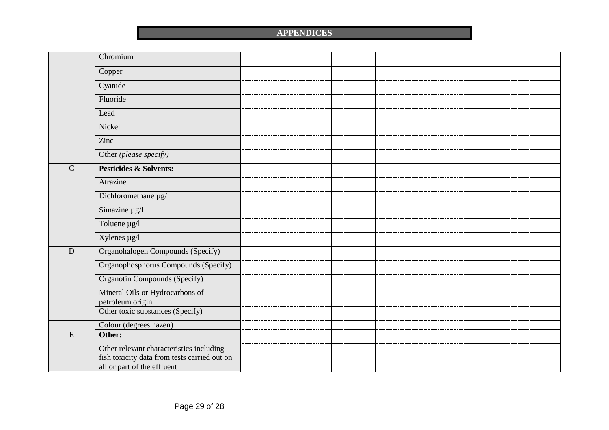|              | Chromium                                             |  |  |  |  |
|--------------|------------------------------------------------------|--|--|--|--|
|              | Copper                                               |  |  |  |  |
|              | Cyanide                                              |  |  |  |  |
|              | Fluoride                                             |  |  |  |  |
|              | Lead                                                 |  |  |  |  |
|              | Nickel                                               |  |  |  |  |
|              | Zinc                                                 |  |  |  |  |
|              | Other (please specify)                               |  |  |  |  |
| $\mathsf{C}$ | <b>Pesticides &amp; Solvents:</b>                    |  |  |  |  |
|              | Atrazine                                             |  |  |  |  |
|              | Dichloromethane µg/l                                 |  |  |  |  |
|              | Simazine µg/l                                        |  |  |  |  |
|              | Toluene $\mu$ g/l                                    |  |  |  |  |
|              | Xylenes µg/l                                         |  |  |  |  |
| D            | Organohalogen Compounds (Specify)                    |  |  |  |  |
|              | Organophosphorus Compounds (Specify)                 |  |  |  |  |
|              | <b>Organotin Compounds (Specify)</b>                 |  |  |  |  |
|              | Mineral Oils or Hydrocarbons of                      |  |  |  |  |
|              | petroleum origin<br>Other toxic substances (Specify) |  |  |  |  |
|              |                                                      |  |  |  |  |
| ${\bf E}$    | Colour (degrees hazen)<br>Other:                     |  |  |  |  |
|              |                                                      |  |  |  |  |
|              | Other relevant characteristics including             |  |  |  |  |
|              | fish toxicity data from tests carried out on         |  |  |  |  |
|              | all or part of the effluent                          |  |  |  |  |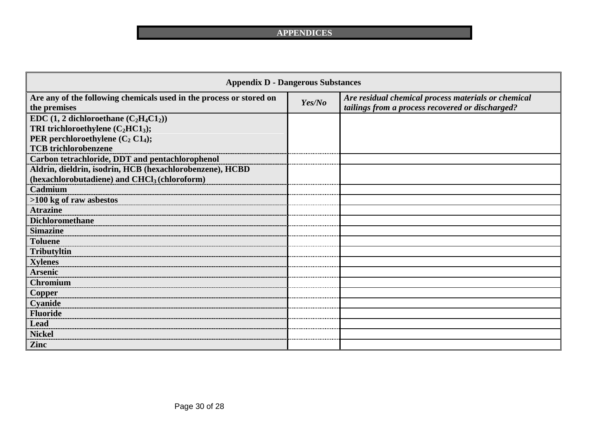| <b>Appendix D - Dangerous Substances</b>                                            |        |                                                                                                         |  |  |  |
|-------------------------------------------------------------------------------------|--------|---------------------------------------------------------------------------------------------------------|--|--|--|
| Are any of the following chemicals used in the process or stored on<br>the premises | Yes/No | Are residual chemical process materials or chemical<br>tailings from a process recovered or discharged? |  |  |  |
| EDC $(1, 2$ dichloroethane $(C_2H_4C1_2)$                                           |        |                                                                                                         |  |  |  |
| TRI trichloroethylene $(C_2HC1_3)$ ;                                                |        |                                                                                                         |  |  |  |
| PER perchloroethylene $(C_2 C1_4)$ ;                                                |        |                                                                                                         |  |  |  |
| <b>TCB</b> trichlorobenzene                                                         |        |                                                                                                         |  |  |  |
| Carbon tetrachloride, DDT and pentachlorophenol                                     |        |                                                                                                         |  |  |  |
| Aldrin, dieldrin, isodrin, HCB (hexachlorobenzene), HCBD                            |        |                                                                                                         |  |  |  |
| (hexachlorobutadiene) and CHCl <sub>3</sub> (chloroform)                            |        |                                                                                                         |  |  |  |
| Cadmium                                                                             |        |                                                                                                         |  |  |  |
| >100 kg of raw asbestos                                                             |        |                                                                                                         |  |  |  |
| <b>Atrazine</b>                                                                     |        |                                                                                                         |  |  |  |
| <b>Dichloromethane</b>                                                              |        |                                                                                                         |  |  |  |
| <b>Simazine</b>                                                                     |        |                                                                                                         |  |  |  |
| <b>Toluene</b>                                                                      |        |                                                                                                         |  |  |  |
| <b>Tributyltin</b>                                                                  |        |                                                                                                         |  |  |  |
| <b>Xylenes</b>                                                                      |        |                                                                                                         |  |  |  |
| <b>Arsenic</b>                                                                      |        |                                                                                                         |  |  |  |
| <b>Chromium</b>                                                                     |        |                                                                                                         |  |  |  |
| <b>Copper</b>                                                                       |        |                                                                                                         |  |  |  |
| Cyanide                                                                             |        |                                                                                                         |  |  |  |
| <b>Fluoride</b>                                                                     |        |                                                                                                         |  |  |  |
| <b>Lead</b>                                                                         |        |                                                                                                         |  |  |  |
| <b>Nickel</b>                                                                       |        |                                                                                                         |  |  |  |
| Zinc                                                                                |        |                                                                                                         |  |  |  |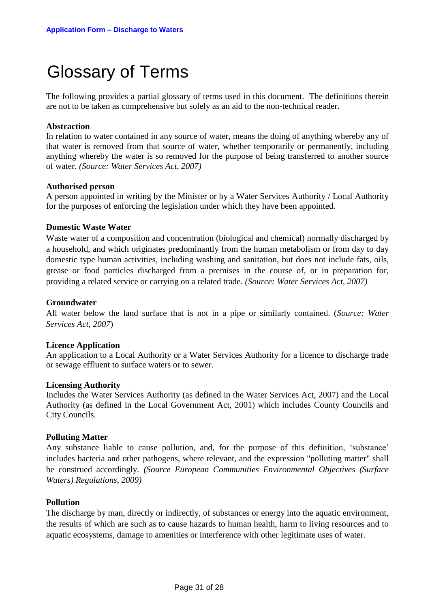# Glossary of Terms

The following provides a partial glossary of terms used in this document. The definitions therein are not to be taken as comprehensive but solely as an aid to the non-technical reader.

## **Abstraction**

In relation to water contained in any source of water, means the doing of anything whereby any of that water is removed from that source of water, whether temporarily or permanently, including anything whereby the water is so removed for the purpose of being transferred to another source of water. *(Source: Water Services Act, 2007)*

## **Authorised person**

A person appointed in writing by the Minister or by a Water Services Authority / Local Authority for the purposes of enforcing the legislation under which they have been appointed.

## **Domestic Waste Water**

Waste water of a composition and concentration (biological and chemical) normally discharged by a household, and which originates predominantly from the human metabolism or from day to day domestic type human activities, including washing and sanitation, but does not include fats, oils, grease or food particles discharged from a premises in the course of, or in preparation for, providing a related service or carrying on a related trade. *(Source: Water Services Act, 2007)*

#### **Groundwater**

All water below the land surface that is not in a pipe or similarly contained. (*Source: Water Services Act, 2007*)

#### **Licence Application**

An application to a Local Authority or a Water Services Authority for a licence to discharge trade or sewage effluent to surface waters or to sewer.

#### **Licensing Authority**

Includes the Water Services Authority (as defined in the Water Services Act, 2007) and the Local Authority (as defined in the Local Government Act, 2001) which includes County Councils and City Councils.

## **Polluting Matter**

Any substance liable to cause pollution, and, for the purpose of this definition, 'substance' includes bacteria and other pathogens, where relevant, and the expression "polluting matter" shall be construed accordingly. *(Source European Communities Environmental Objectives (Surface Waters) Regulations, 2009)*

## **Pollution**

The discharge by man, directly or indirectly, of substances or energy into the aquatic environment, the results of which are such as to cause hazards to human health, harm to living resources and to aquatic ecosystems, damage to amenities or interference with other legitimate uses of water.